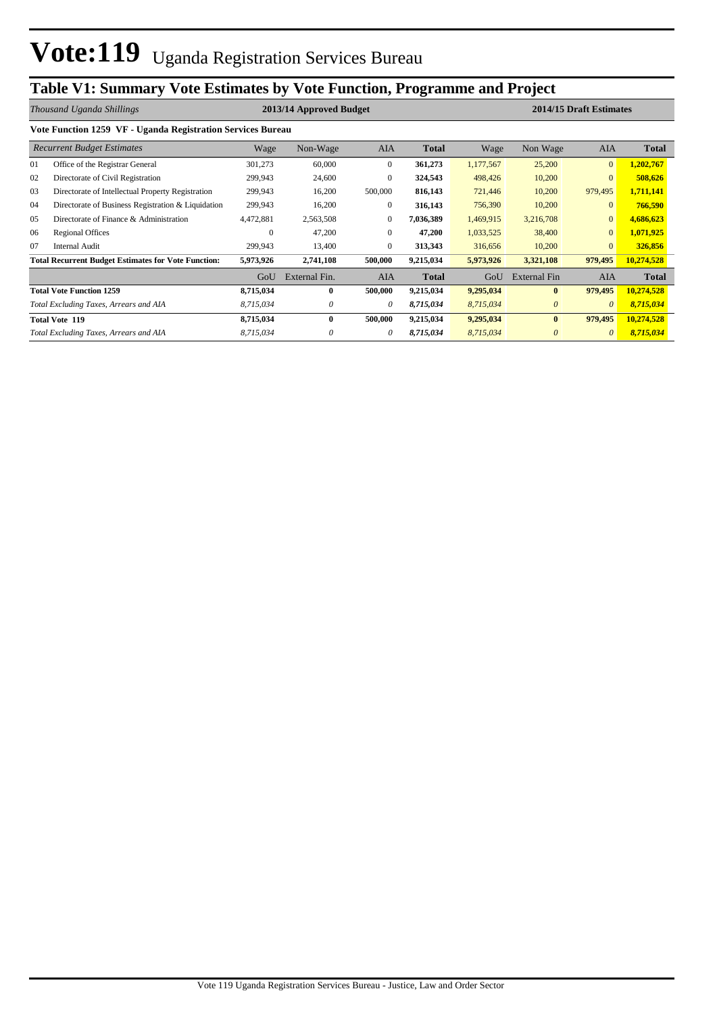## **Table V1: Summary Vote Estimates by Vote Function, Programme and Project**

|    | Thousand Uganda Shillings                                   |           | 2013/14 Approved Budget |                |              |           | 2014/15 Draft Estimates |                |              |
|----|-------------------------------------------------------------|-----------|-------------------------|----------------|--------------|-----------|-------------------------|----------------|--------------|
|    | Vote Function 1259 VF - Uganda Registration Services Bureau |           |                         |                |              |           |                         |                |              |
|    | <b>Recurrent Budget Estimates</b>                           | Wage      | Non-Wage                | <b>AIA</b>     | <b>Total</b> | Wage      | Non Wage                | <b>AIA</b>     | <b>Total</b> |
| 01 | Office of the Registrar General                             | 301,273   | 60,000                  | $\overline{0}$ | 361,273      | 1,177,567 | 25,200                  | $\overline{0}$ | 1,202,767    |
| 02 | Directorate of Civil Registration                           | 299,943   | 24,600                  | $\overline{0}$ | 324,543      | 498,426   | 10,200                  | $\overline{0}$ | 508,626      |
| 03 | Directorate of Intellectual Property Registration           | 299,943   | 16,200                  | 500,000        | 816,143      | 721,446   | 10,200                  | 979,495        | 1,711,141    |
| 04 | Directorate of Business Registration & Liquidation          | 299,943   | 16,200                  | $\mathbf{0}$   | 316,143      | 756,390   | 10,200                  | $\overline{0}$ | 766,590      |
| 05 | Directorate of Finance & Administration                     | 4,472,881 | 2,563,508               | $\mathbf{0}$   | 7,036,389    | 1,469,915 | 3,216,708               | $\overline{0}$ | 4,686,623    |
| 06 | <b>Regional Offices</b>                                     | 0         | 47,200                  | $\Omega$       | 47,200       | 1,033,525 | 38,400                  | $\overline{0}$ | 1,071,925    |
| 07 | <b>Internal Audit</b>                                       | 299,943   | 13,400                  | $\mathbf{0}$   | 313,343      | 316,656   | 10,200                  | $\overline{0}$ | 326,856      |
|    | <b>Total Recurrent Budget Estimates for Vote Function:</b>  | 5,973,926 | 2,741,108               | 500,000        | 9,215,034    | 5,973,926 | 3,321,108               | 979,495        | 10,274,528   |
|    |                                                             | GoU       | External Fin.           | <b>AIA</b>     | <b>Total</b> | GoU       | External Fin            | <b>AIA</b>     | <b>Total</b> |
|    | <b>Total Vote Function 1259</b>                             | 8,715,034 | $\bf{0}$                | 500,000        | 9,215,034    | 9,295,034 | $\bf{0}$                | 979,495        | 10,274,528   |
|    | Total Excluding Taxes, Arrears and AIA                      | 8,715,034 | 0                       | 0              | 8,715,034    | 8,715,034 | $\theta$                | $\theta$       | 8,715,034    |
|    | <b>Total Vote 119</b>                                       | 8,715,034 | $\mathbf{0}$            | 500,000        | 9,215,034    | 9,295,034 | $\bf{0}$                | 979,495        | 10,274,528   |
|    | Total Excluding Taxes, Arrears and AIA                      | 8,715,034 |                         | 0              | 8,715,034    | 8,715,034 | $\theta$                | $\theta$       | 8,715,034    |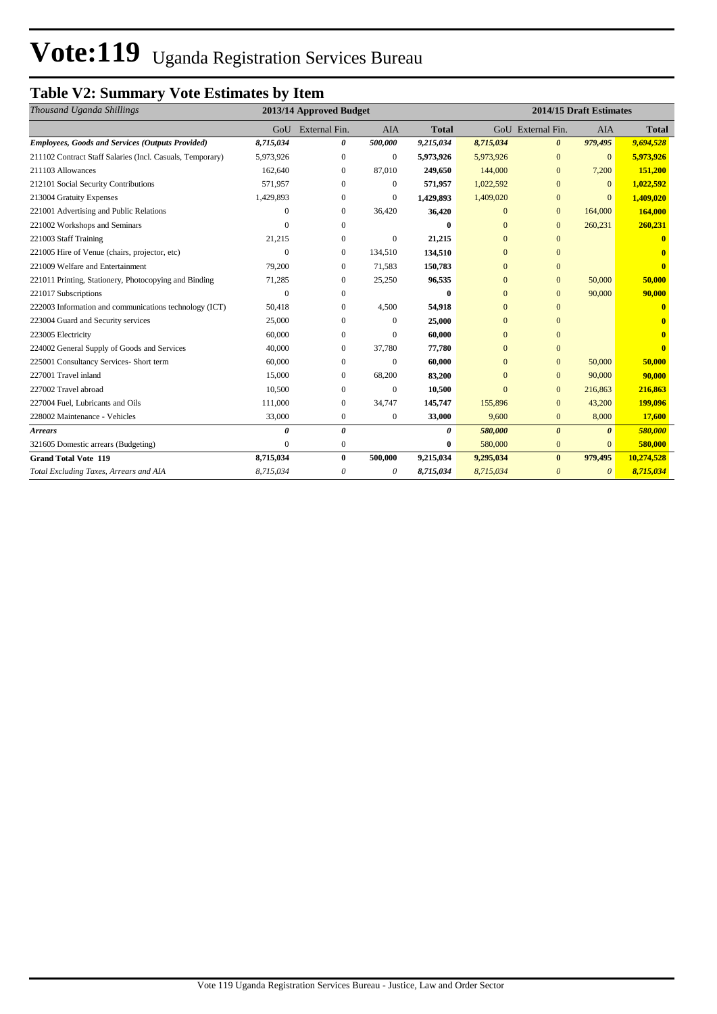# Vote:119 Uganda Registration Services Bureau

## **Table V2: Summary Vote Estimates by Item**

| Thousand Uganda Shillings                                 |           | 2013/14 Approved Budget |                  |              |                |                       | 2014/15 Draft Estimates |              |
|-----------------------------------------------------------|-----------|-------------------------|------------------|--------------|----------------|-----------------------|-------------------------|--------------|
|                                                           |           | GoU External Fin.       | <b>AIA</b>       | <b>Total</b> |                | GoU External Fin.     | <b>AIA</b>              | <b>Total</b> |
| <b>Employees, Goods and Services (Outputs Provided)</b>   | 8,715,034 | 0                       | 500,000          | 9,215,034    | 8,715,034      | $\boldsymbol{\theta}$ | 979,495                 | 9,694,528    |
| 211102 Contract Staff Salaries (Incl. Casuals, Temporary) | 5.973.926 | $\mathbf{0}$            | $\mathbf{0}$     | 5,973,926    | 5,973,926      | $\mathbf{0}$          | $\overline{0}$          | 5,973,926    |
| 211103 Allowances                                         | 162,640   | $\overline{0}$          | 87,010           | 249,650      | 144,000        | $\mathbf{0}$          | 7,200                   | 151,200      |
| 212101 Social Security Contributions                      | 571,957   | $\Omega$                | $\boldsymbol{0}$ | 571,957      | 1,022,592      | $\Omega$              | $\overline{0}$          | 1,022,592    |
| 213004 Gratuity Expenses                                  | 1,429,893 | $\Omega$                | $\mathbf{0}$     | 1,429,893    | 1,409,020      | $\mathbf{0}$          | $\Omega$                | 1,409,020    |
| 221001 Advertising and Public Relations                   |           | $\mathbf{0}$            | 36,420           | 36,420       | $\mathbf{0}$   | $\mathbf{0}$          | 164,000                 | 164,000      |
| 221002 Workshops and Seminars                             |           | 0                       |                  |              | $\Omega$       | $\mathbf{0}$          | 260,231                 | 260,231      |
| 221003 Staff Training                                     | 21,215    | 0                       | $\mathbf{0}$     | 21,215       | $\mathbf{0}$   | $\mathbf{0}$          |                         |              |
| 221005 Hire of Venue (chairs, projector, etc)             | $\Omega$  | $\overline{0}$          | 134,510          | 134,510      | $\overline{0}$ | $\mathbf{0}$          |                         |              |
| 221009 Welfare and Entertainment                          | 79,200    | $\Omega$                | 71,583           | 150,783      | $\Omega$       | $\Omega$              |                         |              |
| 221011 Printing, Stationery, Photocopying and Binding     | 71,285    | $\Omega$                | 25,250           | 96,535       | $\mathbf{0}$   | $\mathbf{0}$          | 50,000                  | 50,000       |
| 221017 Subscriptions                                      | $\Omega$  | $\mathbf{0}$            |                  | 0            | $\mathbf{0}$   | $\Omega$              | 90,000                  | 90,000       |
| 222003 Information and communications technology (ICT)    | 50,418    | $\Omega$                | 4,500            | 54,918       | $\Omega$       | $\Omega$              |                         |              |
| 223004 Guard and Security services                        | 25,000    | $\Omega$                | $\Omega$         | 25,000       | $\Omega$       | $\Omega$              |                         |              |
| 223005 Electricity                                        | 60,000    | $\mathbf{0}$            | $\mathbf{0}$     | 60,000       | $\mathbf{0}$   | $\Omega$              |                         |              |
| 224002 General Supply of Goods and Services               | 40,000    | $\mathbf{0}$            | 37.780           | 77,780       | $\mathbf{0}$   | $\Omega$              |                         |              |
| 225001 Consultancy Services- Short term                   | 60,000    | $\Omega$                | $\Omega$         | 60,000       | $\Omega$       | $\Omega$              | 50,000                  | 50,000       |
| 227001 Travel inland                                      | 15,000    | $\boldsymbol{0}$        | 68,200           | 83,200       | $\mathbf{0}$   | $\mathbf{0}$          | 90,000                  | 90,000       |
| 227002 Travel abroad                                      | 10,500    | $\Omega$                | $\mathbf{0}$     | 10,500       | $\Omega$       | $\Omega$              | 216,863                 | 216,863      |
| 227004 Fuel, Lubricants and Oils                          | 111,000   | $\overline{0}$          | 34,747           | 145,747      | 155,896        | $\mathbf{0}$          | 43,200                  | 199,096      |
| 228002 Maintenance - Vehicles                             | 33,000    | $\mathbf{0}$            | $\boldsymbol{0}$ | 33,000       | 9,600          | $\mathbf{0}$          | 8,000                   | 17,600       |
| <b>Arrears</b>                                            | 0         | $\theta$                |                  | 0            | 580,000        | $\theta$              | $\theta$                | 580,000      |
| 321605 Domestic arrears (Budgeting)                       | $\Omega$  | $\mathbf{0}$            |                  | 0            | 580,000        | $\mathbf{0}$          | $\Omega$                | 580,000      |
| <b>Grand Total Vote 119</b>                               | 8,715,034 | $\bf{0}$                | 500,000          | 9,215,034    | 9,295,034      | $\bf{0}$              | 979,495                 | 10,274,528   |
| Total Excluding Taxes, Arrears and AIA                    | 8,715,034 | 0                       | 0                | 8,715,034    | 8,715,034      | $\theta$              | $\theta$                | 8,715,034    |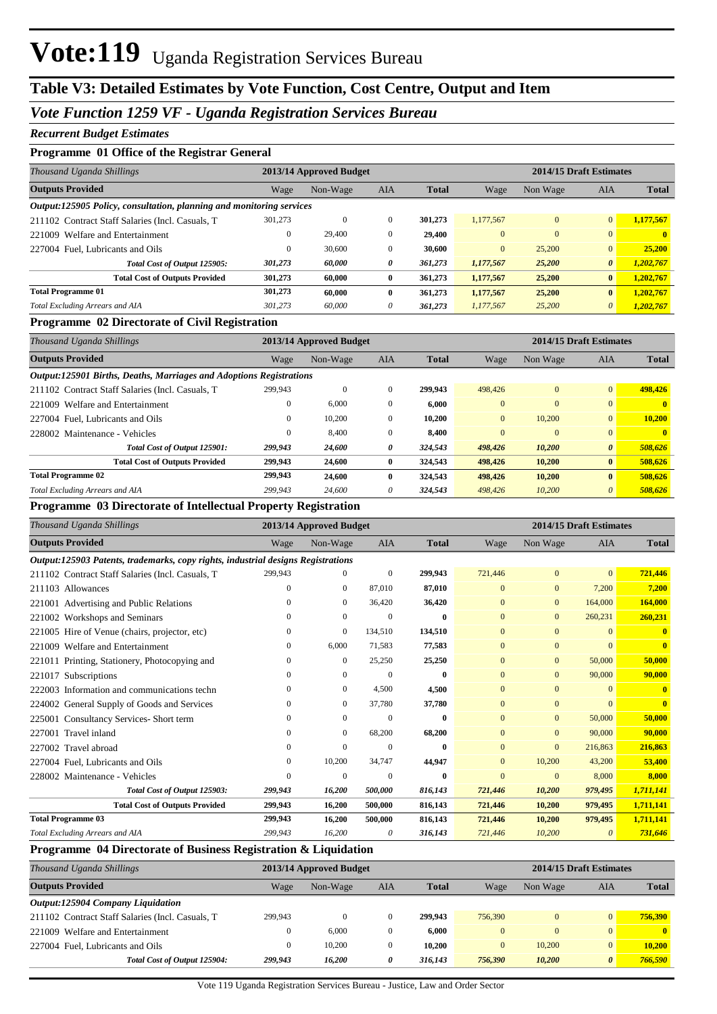### **Table V3: Detailed Estimates by Vote Function, Cost Centre, Output and Item**

#### *Vote Function 1259 VF - Uganda Registration Services Bureau*

#### *Recurrent Budget Estimates*

#### **Programme 01 Office of the Registrar General**

| Thousand Uganda Shillings                                            |              | 2013/14 Approved Budget |              |              |                |          | 2014/15 Draft Estimates<br><b>AIA</b><br>$\overline{0}$<br>$\Omega$<br>$\Omega$<br>$\Omega$<br>25,200<br>$\mathbf{0}$ |              |  |
|----------------------------------------------------------------------|--------------|-------------------------|--------------|--------------|----------------|----------|-----------------------------------------------------------------------------------------------------------------------|--------------|--|
| <b>Outputs Provided</b>                                              | Wage         | Non-Wage                | <b>AIA</b>   | <b>Total</b> | Wage           | Non Wage |                                                                                                                       | <b>Total</b> |  |
| Output:125905 Policy, consultation, planning and monitoring services |              |                         |              |              |                |          |                                                                                                                       |              |  |
| 211102 Contract Staff Salaries (Incl. Casuals, T.                    | 301.273      | $\mathbf{0}$            | $\Omega$     | 301.273      | 1.177.567      |          |                                                                                                                       | 1,177,567    |  |
| 221009 Welfare and Entertainment                                     | $\mathbf{0}$ | 29,400                  | $\mathbf{0}$ | 29,400       | $\Omega$       |          |                                                                                                                       | $\mathbf{0}$ |  |
| 227004 Fuel, Lubricants and Oils                                     | $\theta$     | 30,600                  | $\Omega$     | 30.600       | $\overline{0}$ |          |                                                                                                                       | 25,200       |  |
| Total Cost of Output 125905:                                         | 301,273      | 60,000                  | 0            | 361,273      | 1,177,567      | 25,200   | $\boldsymbol{\theta}$                                                                                                 | 1,202,767    |  |
| <b>Total Cost of Outputs Provided</b>                                | 301,273      | 60.000                  | $\mathbf{0}$ | 361,273      | 1.177.567      | 25,200   | $\mathbf{0}$                                                                                                          | 1,202,767    |  |
| <b>Total Programme 01</b>                                            | 301,273      | 60.000                  | $\mathbf{0}$ | 361,273      | 1.177.567      | 25,200   | $\mathbf{0}$                                                                                                          | 1,202,767    |  |
| Total Excluding Arrears and AIA                                      | 301.273      | 60,000                  | $\theta$     | 361,273      | 1.177.567      | 25,200   | 0                                                                                                                     | 1,202,767    |  |

#### **Programme 02 Directorate of Civil Registration**

| Thousand Uganda Shillings                                           |                | 2013/14 Approved Budget |              |              |                | 2014/15 Draft Estimates |                       |              |
|---------------------------------------------------------------------|----------------|-------------------------|--------------|--------------|----------------|-------------------------|-----------------------|--------------|
| <b>Outputs Provided</b>                                             | Wage           | Non-Wage                | AIA          | <b>Total</b> | Wage           | Non Wage                | AIA                   | <b>Total</b> |
| Output:125901 Births, Deaths, Marriages and Adoptions Registrations |                |                         |              |              |                |                         |                       |              |
| 211102 Contract Staff Salaries (Incl. Casuals, T                    | 299.943        | $\theta$                | $\Omega$     | 299.943      | 498,426        | $\Omega$                | $\overline{0}$        | 498,426      |
| 221009 Welfare and Entertainment                                    |                | 6.000                   | $\Omega$     | 6.000        | $\Omega$       | $\Omega$                | $\overline{0}$        | $\mathbf{0}$ |
| 227004 Fuel. Lubricants and Oils                                    | 0              | 10.200                  | $\mathbf{0}$ | 10.200       | $\overline{0}$ | 10.200                  | $\overline{0}$        | 10.200       |
| 228002 Maintenance - Vehicles                                       | $\overline{0}$ | 8,400                   | $\mathbf{0}$ | 8.400        | $\mathbf{0}$   | $\Omega$                | $\overline{0}$        | $\mathbf{0}$ |
| Total Cost of Output 125901:                                        | 299,943        | 24,600                  | 0            | 324,543      | 498,426        | 10,200                  | $\boldsymbol{\theta}$ | 508,626      |
| <b>Total Cost of Outputs Provided</b>                               | 299,943        | 24,600                  | $\mathbf{0}$ | 324.543      | 498,426        | 10,200                  | $\mathbf{0}$          | 508,626      |
| <b>Total Programme 02</b>                                           | 299,943        | 24,600                  | $\mathbf{0}$ | 324.543      | 498,426        | 10,200                  | $\bf{0}$              | 508,626      |
| Total Excluding Arrears and AIA                                     | 299.943        | 24,600                  | 0            | 324,543      | 498,426        | 10,200                  | $\theta$              | 508,626      |

#### **Programme 03 Directorate of Intellectual Property Registration**

| Thousand Uganda Shillings                                                        |          | 2013/14 Approved Budget |            |              |                |                | 2014/15 Draft Estimates<br>Non Wage<br><b>AIA</b><br>$\mathbf{0}$<br>$\mathbf{0}$ |              |  |  |
|----------------------------------------------------------------------------------|----------|-------------------------|------------|--------------|----------------|----------------|-----------------------------------------------------------------------------------|--------------|--|--|
| <b>Outputs Provided</b>                                                          | Wage     | Non-Wage                | <b>AIA</b> | <b>Total</b> | Wage           |                |                                                                                   | <b>Total</b> |  |  |
| Output:125903 Patents, trademarks, copy rights, industrial designs Registrations |          |                         |            |              |                |                |                                                                                   |              |  |  |
| 211102 Contract Staff Salaries (Incl. Casuals, T                                 | 299,943  | $\overline{0}$          | $\Omega$   | 299,943      | 721,446        |                |                                                                                   | 721,446      |  |  |
| 211103 Allowances                                                                | $\Omega$ | $\mathbf{0}$            | 87,010     | 87,010       | $\mathbf{0}$   | $\mathbf{0}$   | 7,200                                                                             | 7,200        |  |  |
| 221001 Advertising and Public Relations                                          | $\Omega$ | $\Omega$                | 36,420     | 36,420       | $\overline{0}$ | $\mathbf{0}$   | 164,000                                                                           | 164,000      |  |  |
| 221002 Workshops and Seminars                                                    | $\Omega$ | $\mathbf{0}$            | $\Omega$   | $\mathbf{0}$ | $\mathbf{0}$   | $\overline{0}$ | 260,231                                                                           | 260,231      |  |  |
| 221005 Hire of Venue (chairs, projector, etc)                                    | $\Omega$ | $\mathbf{0}$            | 134,510    | 134,510      | $\Omega$       | $\mathbf{0}$   | $\Omega$                                                                          |              |  |  |
| 221009 Welfare and Entertainment                                                 | 0        | 6,000                   | 71,583     | 77,583       | $\overline{0}$ | $\overline{0}$ | $\Omega$                                                                          | $\mathbf{0}$ |  |  |
| Printing, Stationery, Photocopying and<br>221011                                 | $\Omega$ | $\mathbf{0}$            | 25,250     | 25,250       | $\overline{0}$ | $\mathbf{0}$   | 50,000                                                                            | 50,000       |  |  |
| Subscriptions<br>221017                                                          | $\Omega$ | $\Omega$                | $\Omega$   | $\mathbf{0}$ | $\Omega$       | $\Omega$       | 90,000                                                                            | 90,000       |  |  |
| 222003 Information and communications techn                                      | $\Omega$ | $\Omega$                | 4,500      | 4,500        | $\Omega$       | $\Omega$       | $\Omega$                                                                          |              |  |  |
| General Supply of Goods and Services<br>224002                                   | $\Omega$ | $\mathbf{0}$            | 37,780     | 37,780       | $\overline{0}$ | $\mathbf{0}$   | $\Omega$                                                                          | $\mathbf{0}$ |  |  |
| <b>Consultancy Services-Short term</b><br>225001                                 |          | $\Omega$                | $\Omega$   | $\mathbf{0}$ | $\mathbf{0}$   | $\mathbf{0}$   | 50,000                                                                            | 50,000       |  |  |
| 227001<br>Travel inland                                                          | $\Omega$ | $\mathbf{0}$            | 68,200     | 68,200       | $\overline{0}$ | $\mathbf{0}$   | 90,000                                                                            | 90,000       |  |  |
| 227002<br>Travel abroad                                                          | $\Omega$ | $\Omega$                | $\Omega$   | $\mathbf{0}$ | $\overline{0}$ | $\mathbf{0}$   | 216,863                                                                           | 216,863      |  |  |
| 227004 Fuel, Lubricants and Oils                                                 | $\Omega$ | 10,200                  | 34,747     | 44,947       | $\Omega$       | 10,200         | 43,200                                                                            | 53,400       |  |  |
| 228002 Maintenance - Vehicles                                                    | $\theta$ | $\Omega$                | $\Omega$   | $\bf{0}$     | $\Omega$       | $\mathbf{0}$   | 8,000                                                                             | 8,000        |  |  |
| Total Cost of Output 125903:                                                     | 299,943  | 16,200                  | 500,000    | 816,143      | 721,446        | 10,200         | 979,495                                                                           | 1,711,141    |  |  |
| <b>Total Cost of Outputs Provided</b>                                            | 299,943  | 16,200                  | 500,000    | 816,143      | 721,446        | 10,200         | 979,495                                                                           | 1,711,141    |  |  |
| <b>Total Programme 03</b>                                                        | 299,943  | 16,200                  | 500,000    | 816,143      | 721,446        | 10,200         | 979,495                                                                           | 1,711,141    |  |  |
| Total Excluding Arrears and AIA                                                  | 299,943  | 16,200                  | 0          | 316,143      | 721,446        | 10,200         | 0                                                                                 | 731,646      |  |  |

#### **Programme 04 Directorate of Business Registration & Liquidation**

| Thousand Uganda Shillings                         |         | 2013/14 Approved Budget |          |              |          |          | 2014/15 Draft Estimates |              |
|---------------------------------------------------|---------|-------------------------|----------|--------------|----------|----------|-------------------------|--------------|
| <b>Outputs Provided</b>                           | Wage    | Non-Wage                | AIA      | <b>Total</b> | Wage     | Non Wage | AIA                     | <b>Total</b> |
| Output:125904 Company Liquidation                 |         |                         |          |              |          |          |                         |              |
| 211102 Contract Staff Salaries (Incl. Casuals, T. | 299,943 |                         |          | 299,943      | 756,390  | $\Omega$ | $\Omega$                | 756.390      |
| 221009 Welfare and Entertainment                  |         | 6.000                   | $\Omega$ | 6.000        | $\Omega$ | $\Omega$ | $\Omega$                | $\mathbf{0}$ |
| 227004 Fuel, Lubricants and Oils                  |         | 10.200                  |          | 10.200       | $\Omega$ | 10,200   | $\Omega$                | 10.200       |
| Total Cost of Output 125904:                      | 299,943 | 16.200                  | 0        | 316,143      | 756.390  | 10,200   | 0                       | 766,590      |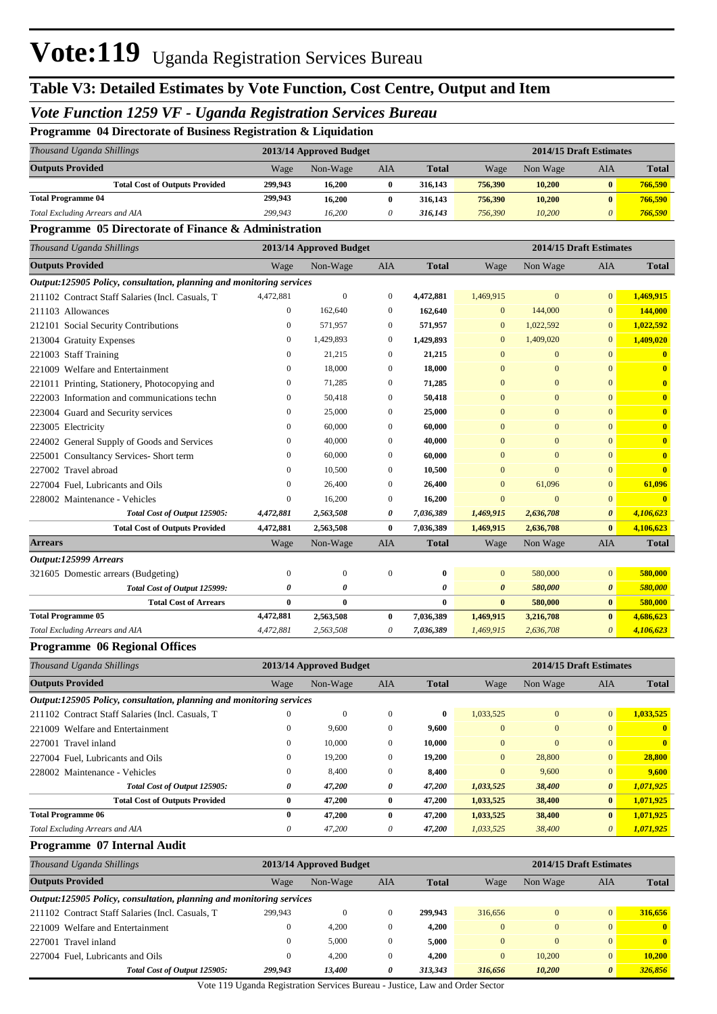## Vote:119 Uganda Registration Services Bureau

## **Table V3: Detailed Estimates by Vote Function, Cost Centre, Output and Item**

### *Vote Function 1259 VF - Uganda Registration Services Bureau*

## **Programme 04 Directorate of Business Registration & Liquidation**

| Thousand Uganda Shillings             |         | 2013/14 Approved Budget |     |              | 2014/15 Draft Estimates |          |          |              |
|---------------------------------------|---------|-------------------------|-----|--------------|-------------------------|----------|----------|--------------|
| <b>Outputs Provided</b>               | Wage    | Non-Wage                | AIA | <b>Total</b> | Wage                    | Non Wage | AIA      | <b>Total</b> |
| <b>Total Cost of Outputs Provided</b> | 299,943 | 16.200                  |     | 316,143      | 756,390                 | 10,200   | $\bf{0}$ | 766.590      |
| <b>Total Programme 04</b>             | 299,943 | 16.200                  |     | 316,143      | 756,390                 | 10,200   | $\bf{0}$ | 766,590      |
| Total Excluding Arrears and AIA       | 299,943 | 16.200                  |     | 316,143      | 756,390                 | 10,200   | $\theta$ | 766,590      |

#### **Programme 05 Directorate of Finance & Administration**

| Thousand Uganda Shillings                                            |                  | 2013/14 Approved Budget |              |              |                       | 2014/15 Draft Estimates |                       |                         |
|----------------------------------------------------------------------|------------------|-------------------------|--------------|--------------|-----------------------|-------------------------|-----------------------|-------------------------|
| <b>Outputs Provided</b>                                              | Wage             | Non-Wage                | <b>AIA</b>   | <b>Total</b> | Wage                  | Non Wage                | <b>AIA</b>            | <b>Total</b>            |
| Output:125905 Policy, consultation, planning and monitoring services |                  |                         |              |              |                       |                         |                       |                         |
| 211102 Contract Staff Salaries (Incl. Casuals, T                     | 4,472,881        | $\overline{0}$          | $\mathbf{0}$ | 4,472,881    | 1,469,915             | $\mathbf{0}$            | $\mathbf{0}$          | 1,469,915               |
| 211103 Allowances                                                    | $\mathbf{0}$     | 162,640                 | $\mathbf{0}$ | 162,640      | $\mathbf{0}$          | 144,000                 | $\mathbf{0}$          | 144,000                 |
| 212101 Social Security Contributions                                 | $\mathbf{0}$     | 571,957                 | $\Omega$     | 571,957      | $\mathbf{0}$          | 1,022,592               | $\Omega$              | 1,022,592               |
| 213004 Gratuity Expenses                                             | $\mathbf{0}$     | 1,429,893               | $\mathbf{0}$ | 1,429,893    | $\Omega$              | 1,409,020               | $\Omega$              | 1,409,020               |
| 221003 Staff Training                                                | 0                | 21,215                  | $\mathbf{0}$ | 21,215       | $\mathbf{0}$          | $\mathbf{0}$            | $\mathbf{0}$          | $\bf{0}$                |
| 221009 Welfare and Entertainment                                     | $\mathbf{0}$     | 18,000                  | $\Omega$     | 18,000       | $\Omega$              | $\mathbf{0}$            | $\Omega$              | $\overline{\mathbf{0}}$ |
| 221011 Printing, Stationery, Photocopying and                        | 0                | 71,285                  | $\Omega$     | 71,285       | $\Omega$              | $\mathbf{0}$            | $\mathbf{0}$          | $\mathbf{0}$            |
| 222003 Information and communications techn                          | 0                | 50,418                  | $\mathbf{0}$ | 50,418       | $\mathbf{0}$          | $\mathbf{0}$            | $\overline{0}$        | $\bf{0}$                |
| 223004 Guard and Security services                                   | 0                | 25,000                  | $\Omega$     | 25,000       | $\Omega$              | $\mathbf{0}$            | $\Omega$              | $\bf{0}$                |
| 223005 Electricity                                                   | 0                | 60,000                  | $\Omega$     | 60,000       | $\Omega$              | $\mathbf{0}$            | $\Omega$              | $\mathbf{0}$            |
| 224002 General Supply of Goods and Services                          | 0                | 40,000                  | $\mathbf{0}$ | 40,000       | $\mathbf{0}$          | $\mathbf{0}$            | $\Omega$              | $\bf{0}$                |
| 225001 Consultancy Services- Short term                              | 0                | 60,000                  | $\mathbf{0}$ | 60,000       | $\Omega$              | $\Omega$                | $\overline{0}$        | $\bf{0}$                |
| 227002 Travel abroad                                                 | 0                | 10,500                  | $\mathbf{0}$ | 10,500       | $\mathbf{0}$          | $\mathbf{0}$            | $\mathbf{0}$          | $\bf{0}$                |
| 227004 Fuel, Lubricants and Oils                                     | 0                | 26,400                  | $\mathbf{0}$ | 26,400       | $\Omega$              | 61,096                  | $\overline{0}$        | 61,096                  |
| 228002 Maintenance - Vehicles                                        | $\mathbf{0}$     | 16,200                  | $\mathbf{0}$ | 16,200       | $\mathbf{0}$          | $\overline{0}$          | $\mathbf{0}$          | $\mathbf{0}$            |
| Total Cost of Output 125905:                                         | 4,472,881        | 2,563,508               | 0            | 7,036,389    | 1,469,915             | 2,636,708               | $\boldsymbol{\theta}$ | 4,106,623               |
| <b>Total Cost of Outputs Provided</b>                                | 4,472,881        | 2,563,508               | $\bf{0}$     | 7,036,389    | 1,469,915             | 2,636,708               | $\bf{0}$              | 4,106,623               |
| <b>Arrears</b>                                                       | Wage             | Non-Wage                | <b>AIA</b>   | <b>Total</b> | Wage                  | Non Wage                | <b>AIA</b>            | <b>Total</b>            |
| Output:125999 Arrears                                                |                  |                         |              |              |                       |                         |                       |                         |
| 321605 Domestic arrears (Budgeting)                                  | $\boldsymbol{0}$ | $\boldsymbol{0}$        | $\mathbf{0}$ | $\bf{0}$     | $\overline{0}$        | 580,000                 | $\overline{0}$        | 580,000                 |
| Total Cost of Output 125999:                                         | 0                | 0                       |              | $\theta$     | $\boldsymbol{\theta}$ | 580,000                 | $\boldsymbol{\theta}$ | 580,000                 |
| <b>Total Cost of Arrears</b>                                         | $\bf{0}$         | $\bf{0}$                |              | $\bf{0}$     | $\bf{0}$              | 580,000                 | $\bf{0}$              | 580,000                 |
| <b>Total Programme 05</b>                                            | 4,472,881        | 2,563,508               | $\bf{0}$     | 7,036,389    | 1,469,915             | 3,216,708               | $\bf{0}$              | 4,686,623               |
| Total Excluding Arrears and AIA                                      | 4,472,881        | 2,563,508               | 0            | 7,036,389    | 1,469,915             | 2,636,708               | $\theta$              | 4,106,623               |
|                                                                      |                  |                         |              |              |                       |                         |                       |                         |

#### **Programme 06 Regional Offices**

| Thousand Uganda Shillings                                            |          | 2013/14 Approved Budget |              |              |                | 2014/15 Draft Estimates |                       |              |
|----------------------------------------------------------------------|----------|-------------------------|--------------|--------------|----------------|-------------------------|-----------------------|--------------|
| <b>Outputs Provided</b>                                              | Wage     | Non-Wage                | <b>AIA</b>   | <b>Total</b> | Wage           | Non Wage                | <b>AIA</b>            | <b>Total</b> |
| Output:125905 Policy, consultation, planning and monitoring services |          |                         |              |              |                |                         |                       |              |
| 211102 Contract Staff Salaries (Incl. Casuals, T.                    | $\Omega$ | $\mathbf{0}$            | $\Omega$     | 0            | 1.033.525      | $\mathbf{0}$            | $\mathbf{0}$          | 1,033,525    |
| 221009 Welfare and Entertainment                                     | $\Omega$ | 9.600                   | $\Omega$     | 9.600        | $\Omega$       | $\mathbf{0}$            | $\Omega$              | $\mathbf{0}$ |
| 227001 Travel inland                                                 | $\Omega$ | 10,000                  | $\mathbf{0}$ | 10.000       | $\Omega$       | $\Omega$                | $\Omega$              | $\mathbf{0}$ |
| 227004 Fuel. Lubricants and Oils                                     | 0        | 19,200                  | $\mathbf{0}$ | 19,200       | $\overline{0}$ | 28,800                  | $\mathbf{0}$          | 28,800       |
| 228002 Maintenance - Vehicles                                        | $\Omega$ | 8.400                   | $\Omega$     | 8,400        | $\overline{0}$ | 9,600                   | $\overline{0}$        | 9,600        |
| Total Cost of Output 125905:                                         | 0        | 47,200                  | 0            | 47,200       | 1,033,525      | 38,400                  | $\boldsymbol{\theta}$ | 1,071,925    |
| <b>Total Cost of Outputs Provided</b>                                | 0        | 47,200                  | $\bf{0}$     | 47,200       | 1,033,525      | 38,400                  | $\bf{0}$              | 1,071,925    |
| <b>Total Programme 06</b>                                            | 0        | 47,200                  | $\mathbf{0}$ | 47,200       | 1,033,525      | 38,400                  | $\mathbf{0}$          | 1,071,925    |
| Total Excluding Arrears and AIA                                      | 0        | 47.200                  | 0            | 47,200       | 1.033.525      | 38,400                  | $\theta$              | 1,071,925    |

#### **Programme 07 Internal Audit**

| Thousand Uganda Shillings                                            |              | 2013/14 Approved Budget |              |         |                | 2014/15 Draft Estimates |                       |              |  |  |
|----------------------------------------------------------------------|--------------|-------------------------|--------------|---------|----------------|-------------------------|-----------------------|--------------|--|--|
| <b>Outputs Provided</b>                                              | Wage         | Non-Wage                | AIA          | Total   | Wage           | Non Wage                | AIA                   | <b>Total</b> |  |  |
| Output:125905 Policy, consultation, planning and monitoring services |              |                         |              |         |                |                         |                       |              |  |  |
| 211102 Contract Staff Salaries (Incl. Casuals, T                     | 299,943      | $\Omega$                | $\mathbf{0}$ | 299,943 | 316,656        | $\mathbf{0}$            | $\overline{0}$        | 316.656      |  |  |
| 221009 Welfare and Entertainment                                     | $\bf{0}$     | 4.200                   | $\theta$     | 4.200   | $\overline{0}$ | $\mathbf{0}$            | $\overline{0}$        | $\mathbf{0}$ |  |  |
| 227001 Travel inland                                                 | $\mathbf{0}$ | 5.000                   | $\mathbf{0}$ | 5.000   | $\Omega$       | $\Omega$                | $\overline{0}$        | $\mathbf{0}$ |  |  |
| 227004 Fuel. Lubricants and Oils                                     | $\mathbf{0}$ | 4.200                   | $\mathbf{0}$ | 4.200   | $\Omega$       | 10,200                  | $\mathbf{0}$          | 10,200       |  |  |
| Total Cost of Output 125905:                                         | 299.943      | 13.400                  | 0            | 313.343 | 316,656        | 10,200                  | $\boldsymbol{\theta}$ | 326,856      |  |  |